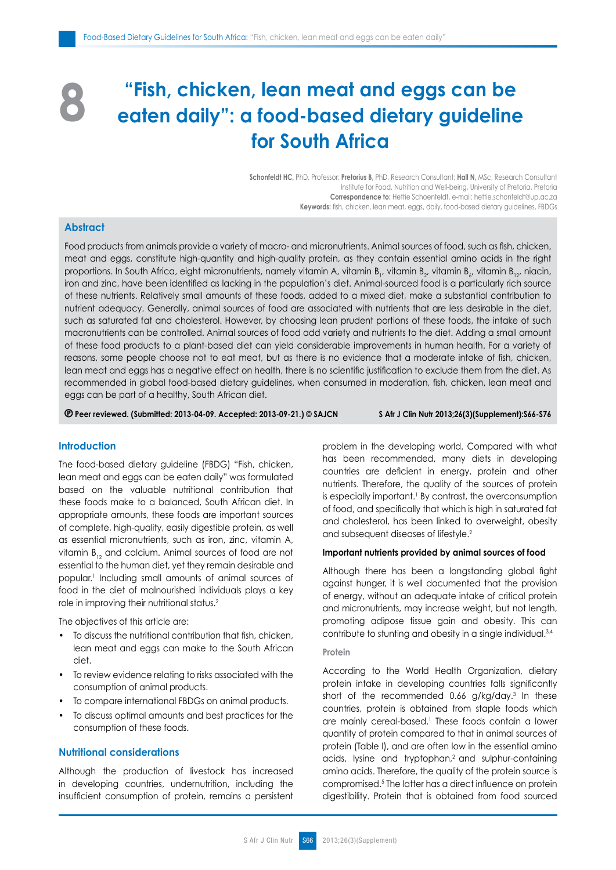# **"Fish, chicken, lean meat and eggs can be eaten daily": a food-based dietary guideline for South Africa 8**

**Schonfeldt HC,** PhD, Professor; **Pretorius B,** PhD, Research Consultant; **Hall N,** MSc, Research Consultant Institute for Food, Nutrition and Well-being, University of Pretoria, Pretoria **Correspondence to:** Hettie Schoenfeldt, e-mail: hettie.schonfeldt@up.ac.za **Keywords:** fish, chicken, lean meat, eggs, daily, food-based dietary guidelines, FBDGs

# **Abstract**

Food products from animals provide a variety of macro- and micronutrients. Animal sources of food, such as fish, chicken, meat and eggs, constitute high-quantity and high-quality protein, as they contain essential amino acids in the right proportions. In South Africa, eight micronutrients, namely vitamin A, vitamin B<sub>1</sub>, vitamin B<sub>2</sub>, vitamin B<sub>42</sub>, vitamin B<sub>12</sub>, niacin, iron and zinc, have been identified as lacking in the population's diet. Animal-sourced food is a particularly rich source of these nutrients. Relatively small amounts of these foods, added to a mixed diet, make a substantial contribution to nutrient adequacy. Generally, animal sources of food are associated with nutrients that are less desirable in the diet, such as saturated fat and cholesterol. However, by choosing lean prudent portions of these foods, the intake of such macronutrients can be controlled. Animal sources of food add variety and nutrients to the diet. Adding a small amount of these food products to a plant-based diet can yield considerable improvements in human health. For a variety of reasons, some people choose not to eat meat, but as there is no evidence that a moderate intake of fish, chicken, lean meat and eggs has a negative effect on health, there is no scientific justification to exclude them from the diet. As recommended in global food-based dietary guidelines, when consumed in moderation, fish, chicken, lean meat and eggs can be part of a healthy, South African diet.

 **Peer reviewed. (Submitted: 2013-04-09. Accepted: 2013-09-21.) © SAJCN S Afr J Clin Nutr 2013;26(3)(Supplement):S66-S76**

# **Introduction**

The food-based dietary guideline (FBDG) "Fish, chicken, lean meat and eggs can be eaten daily" was formulated based on the valuable nutritional contribution that these foods make to a balanced, South African diet. In appropriate amounts, these foods are important sources of complete, high-quality, easily digestible protein, as well as essential micronutrients, such as iron, zinc, vitamin A, vitamin  $B_{12}$  and calcium. Animal sources of food are not essential to the human diet, yet they remain desirable and popular.1 Including small amounts of animal sources of food in the diet of malnourished individuals plays a key role in improving their nutritional status.2

The objectives of this article are:

- To discuss the nutritional contribution that fish, chicken, lean meat and eggs can make to the South African diet.
- • To review evidence relating to risks associated with the consumption of animal products.
- To compare international FBDGs on animal products.
- To discuss optimal amounts and best practices for the consumption of these foods.

# **Nutritional considerations**

Although the production of livestock has increased in developing countries, undernutrition, including the insufficient consumption of protein, remains a persistent problem in the developing world. Compared with what has been recommended, many diets in developing countries are deficient in energy, protein and other nutrients. Therefore, the quality of the sources of protein is especially important.<sup>1</sup> By contrast, the overconsumption of food, and specifically that which is high in saturated fat and cholesterol, has been linked to overweight, obesity and subsequent diseases of lifestyle.2

#### **Important nutrients provided by animal sources of food**

Although there has been a longstanding global fight against hunger, it is well documented that the provision of energy, without an adequate intake of critical protein and micronutrients, may increase weight, but not length, promoting adipose tissue gain and obesity. This can contribute to stunting and obesity in a single individual.3,4

#### **Protein**

According to the World Health Organization, dietary protein intake in developing countries falls significantly short of the recommended 0.66 g/kg/day.<sup>3</sup> In these countries, protein is obtained from staple foods which are mainly cereal-based.<sup>1</sup> These foods contain a lower quantity of protein compared to that in animal sources of protein (Table I), and are often low in the essential amino acids, lysine and tryptophan,2 and sulphur-containing amino acids. Therefore, the quality of the protein source is compromised.5 The latter has a direct influence on protein digestibility. Protein that is obtained from food sourced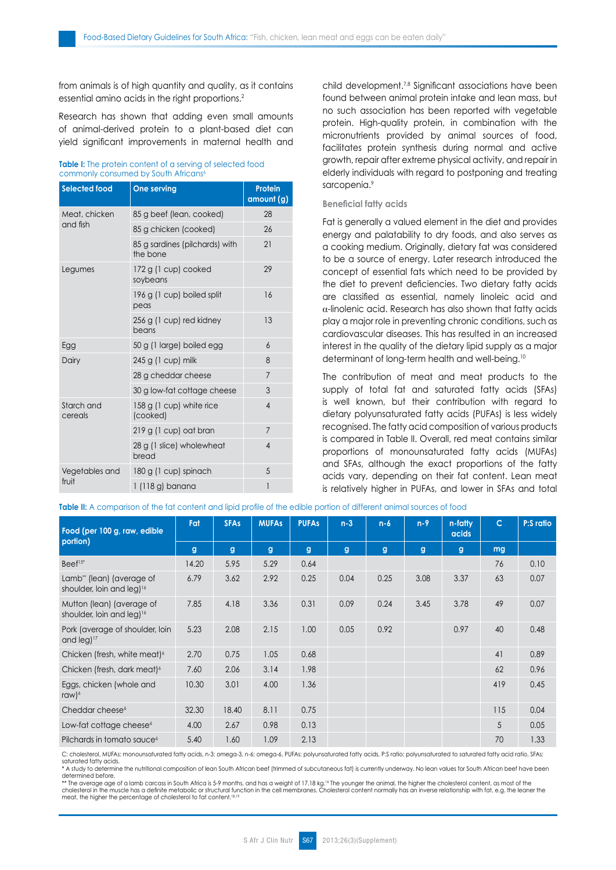from animals is of high quantity and quality, as it contains essential amino acids in the right proportions.<sup>2</sup>

Research has shown that adding even small amounts of animal-derived protein to a plant-based diet can yield significant improvements in maternal health and

#### **Table I:** The protein content of a serving of selected food commonly consumed by South Africans<sup>6</sup>

| <b>Selected food</b>  | <b>One serving</b>                         | <b>Protein</b><br>amount (g) |
|-----------------------|--------------------------------------------|------------------------------|
| Meat, chicken         | 85 g beef (lean, cooked)                   | 28                           |
| and fish              | 85 g chicken (cooked)                      | 26                           |
|                       | 85 g sardines (pilchards) with<br>the bone | 21                           |
| Legumes               | 172 g (1 cup) cooked<br>soybeans           | 29                           |
|                       | 196 g (1 cup) boiled split<br>peas         | 16                           |
|                       | 256 g (1 cup) red kidney<br>beans          | 13                           |
| Egg                   | 50 g (1 large) boiled egg                  | 6                            |
| Dairy                 | 245 g (1 cup) milk                         | 8                            |
|                       | 28 g cheddar cheese                        | $\overline{7}$               |
|                       | 30 g low-fat cottage cheese                | 3                            |
| Starch and<br>cereals | 158 g (1 cup) white rice<br>(cooked)       | $\overline{4}$               |
|                       | 219 g (1 cup) oat bran                     | $\overline{7}$               |
|                       | 28 g (1 slice) wholewheat<br>bread         | $\overline{4}$               |
| Vegetables and        | 180 g (1 cup) spinach                      | 5                            |
| fruit                 | 1 (118 g) banana                           | 1                            |

child development.<sup>7,8</sup> Significant associations have been found between animal protein intake and lean mass, but no such association has been reported with vegetable protein. High-quality protein, in combination with the micronutrients provided by animal sources of food, facilitates protein synthesis during normal and active growth, repair after extreme physical activity, and repair in elderly individuals with regard to postponing and treating sarcopenia.9

## **Beneficial fatty acids**

Fat is generally a valued element in the diet and provides energy and palatability to dry foods, and also serves as a cooking medium. Originally, dietary fat was considered to be a source of energy. Later research introduced the concept of essential fats which need to be provided by the diet to prevent deficiencies. Two dietary fatty acids are classified as essential, namely linoleic acid and a-linolenic acid. Research has also shown that fatty acids play a major role in preventing chronic conditions, such as cardiovascular diseases. This has resulted in an increased interest in the quality of the dietary lipid supply as a major determinant of long-term health and well-being.10

The contribution of meat and meat products to the supply of total fat and saturated fatty acids (SFAs) is well known, but their contribution with regard to dietary polyunsaturated fatty acids (PUFAs) is less widely recognised. The fatty acid composition of various products is compared in Table II. Overall, red meat contains similar proportions of monounsaturated fatty acids (MUFAs) and SFAs, although the exact proportions of the fatty acids vary, depending on their fat content. Lean meat is relatively higher in PUFAs, and lower in SFAs and total

**Table II:** A comparison of the fat content and lipid profile of the edible portion of different animal sources of food

| Food (per 100 g, raw, edible                                       | Fat   | <b>SFAs</b> | <b>MUFAs</b> | <b>PUFAs</b> | $n-3$ | $n-6$        | $n-9$ | n-fatty<br>acids | $\mathsf{C}$ | P:S ratio |
|--------------------------------------------------------------------|-------|-------------|--------------|--------------|-------|--------------|-------|------------------|--------------|-----------|
| portion)                                                           | g     | g           | $\mathbf{g}$ | $\mathbf{g}$ | g     | $\mathbf{g}$ | g     | g                | mg           |           |
| Beef <sup>15*</sup>                                                | 14.20 | 5.95        | 5.29         | 0.64         |       |              |       |                  | 76           | 0.10      |
| Lamb" (lean) (average of<br>shoulder, loin and leg) <sup>16</sup>  | 6.79  | 3.62        | 2.92         | 0.25         | 0.04  | 0.25         | 3.08  | 3.37             | 63           | 0.07      |
| Mutton (lean) (average of<br>shoulder, loin and leg) <sup>16</sup> | 7.85  | 4.18        | 3.36         | 0.31         | 0.09  | 0.24         | 3.45  | 3.78             | 49           | 0.07      |
| Pork (average of shoulder, loin<br>and $leg$ ) <sup>17</sup>       | 5.23  | 2.08        | 2.15         | 1.00         | 0.05  | 0.92         |       | 0.97             | 40           | 0.48      |
| Chicken (fresh, white meat) <sup>6</sup>                           | 2.70  | 0.75        | 1.05         | 0.68         |       |              |       |                  | 41           | 0.89      |
| Chicken (fresh, dark meat) <sup>6</sup>                            | 7.60  | 2.06        | 3.14         | 1.98         |       |              |       |                  | 62           | 0.96      |
| Eggs, chicken (whole and<br>raw) $6$                               | 10.30 | 3.01        | 4.00         | 1.36         |       |              |       |                  | 419          | 0.45      |
| Cheddar cheese <sup>6</sup>                                        | 32.30 | 18.40       | 8.11         | 0.75         |       |              |       |                  | 115          | 0.04      |
| Low-fat cottage cheese <sup>6</sup>                                | 4.00  | 2.67        | 0.98         | 0.13         |       |              |       |                  | 5            | 0.05      |
| Pilchards in tomato sauce <sup>6</sup>                             | 5.40  | 1.60        | 1.09         | 2.13         |       |              |       |                  | 70           | 1.33      |

C: cholesterol, MUFAs: monounsaturated fatty acids, n-3: omega-3, n-6: omega-6, PUFAs: polyunsaturated fatty acids, P:S ratio: polyunsaturated to saturated fatty acid ratio, SFAs: saturated fatty acids.

\* A study to determine the nutritional composition of lean South African beef (trimmed of subcutaneous fat) is currently underway. No lean values for South African beef have been determined before.

\*\* The average age of a lamb carcass in South Africa is 5-9 months, and has a weight of 17.18 kg.<sup>16</sup> The younger the animal, the higher the cholesterol content, as most of the cholesterol in the muscle has a definite metabolic or structural function in the cell membranes. Cholesterol content normally has an inverse relationship with fat, e.g. the leaner the meat, the higher the percentage of cholesterol to fat content.<sup>18,19</sup>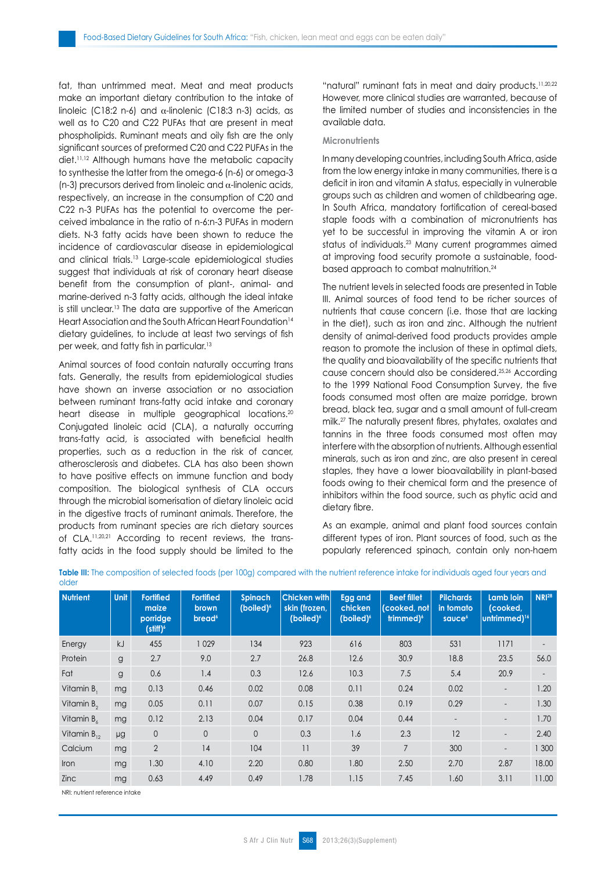fat, than untrimmed meat. Meat and meat products make an important dietary contribution to the intake of linoleic (C18:2 n-6) and α-linolenic (C18:3 n-3) acids, as well as to C20 and C22 PUFAs that are present in meat phospholipids. Ruminant meats and oily fish are the only significant sources of preformed C20 and C22 PUFAs in the diet.11,12 Although humans have the metabolic capacity to synthesise the latter from the omega-6 (n-6) or omega-3 (n-3) precursors derived from linoleic and  $\alpha$ -linolenic acids, respectively, an increase in the consumption of C20 and C22 n-3 PUFAs has the potential to overcome the perceived imbalance in the ratio of n-6:n-3 PUFAs in modern diets. N-3 fatty acids have been shown to reduce the incidence of cardiovascular disease in epidemiological and clinical trials.13 Large-scale epidemiological studies suggest that individuals at risk of coronary heart disease benefit from the consumption of plant-, animal- and marine-derived n-3 fatty acids, although the ideal intake is still unclear.<sup>13</sup> The data are supportive of the American Heart Association and the South African Heart Foundation<sup>14</sup> dietary guidelines, to include at least two servings of fish per week, and fatty fish in particular.<sup>13</sup>

Animal sources of food contain naturally occurring trans fats. Generally, the results from epidemiological studies have shown an inverse association or no association between ruminant trans-fatty acid intake and coronary heart disease in multiple geographical locations.<sup>20</sup> Conjugated linoleic acid (CLA), a naturally occurring trans-fatty acid, is associated with beneficial health properties, such as a reduction in the risk of cancer, atherosclerosis and diabetes. CLA has also been shown to have positive effects on immune function and body composition. The biological synthesis of CLA occurs through the microbial isomerisation of dietary linoleic acid in the digestive tracts of ruminant animals. Therefore, the products from ruminant species are rich dietary sources of CLA.11,20,21 According to recent reviews, the transfatty acids in the food supply should be limited to the "natural" ruminant fats in meat and dairy products.<sup>11,20,22</sup> However, more clinical studies are warranted, because of the limited number of studies and inconsistencies in the available data.

#### **Micronutrients**

In many developing countries, including South Africa, aside from the low energy intake in many communities, there is a deficit in iron and vitamin A status, especially in vulnerable groups such as children and women of childbearing age. In South Africa, mandatory fortification of cereal-based staple foods with a combination of micronutrients has yet to be successful in improving the vitamin A or iron status of individuals.23 Many current programmes aimed at improving food security promote a sustainable, foodbased approach to combat malnutrition.24

The nutrient levels in selected foods are presented in Table III. Animal sources of food tend to be richer sources of nutrients that cause concern (i.e. those that are lacking in the diet), such as iron and zinc. Although the nutrient density of animal-derived food products provides ample reason to promote the inclusion of these in optimal diets, the quality and bioavailability of the specific nutrients that cause concern should also be considered.25,26 According to the 1999 National Food Consumption Survey, the five foods consumed most often are maize porridge, brown bread, black tea, sugar and a small amount of full-cream milk.27 The naturally present fibres, phytates, oxalates and tannins in the three foods consumed most often may interfere with the absorption of nutrients. Although essential minerals, such as iron and zinc, are also present in cereal staples, they have a lower bioavailability in plant-based foods owing to their chemical form and the presence of inhibitors within the food source, such as phytic acid and dietary fibre.

As an example, animal and plant food sources contain different types of iron. Plant sources of food, such as the popularly referenced spinach, contain only non-haem

| <b>Nutrient</b>      | <b>Unit</b> | <b>Fortified</b><br>maize<br>porridge<br>$(\text{stiff})^6$ | <b>Fortified</b><br>brown<br>bread <sup>6</sup> | <b>Spinach</b><br>(boiled) <sup>6</sup> | Chicken with<br>skin (frozen,<br>(boiled) <sup>6</sup> | Egg and<br>chicken<br>(boiled) <sup>6</sup> | <b>Beef fillet</b><br>(cooked. notl<br>trimmed) <sup>6</sup> | <b>Pilchards</b><br>in tomato<br>sauce <sup>6</sup> | <b>Lamb loin</b><br>(cooked,<br>untrimmed) <sup>16</sup> | <b>NRI28</b> |
|----------------------|-------------|-------------------------------------------------------------|-------------------------------------------------|-----------------------------------------|--------------------------------------------------------|---------------------------------------------|--------------------------------------------------------------|-----------------------------------------------------|----------------------------------------------------------|--------------|
| Energy               | kJ          | 455                                                         | 1029                                            | 134                                     | 923                                                    | 616                                         | 803                                                          | 531                                                 | 1171                                                     |              |
| Protein              | g           | 2.7                                                         | 9.0                                             | 2.7                                     | 26.8                                                   | 12.6                                        | 30.9                                                         | 18.8                                                | 23.5                                                     | 56.0         |
| Fat                  | g           | 0.6                                                         | 1.4                                             | 0.3                                     | 12.6                                                   | 10.3                                        | 7.5                                                          | 5.4                                                 | 20.9                                                     |              |
| Vitamin B,           | mg          | 0.13                                                        | 0.46                                            | 0.02                                    | 0.08                                                   | 0.11                                        | 0.24                                                         | 0.02                                                | $\overline{\phantom{a}}$                                 | 1.20         |
| Vitamin $B_{\alpha}$ | mg          | 0.05                                                        | 0.11                                            | 0.07                                    | 0.15                                                   | 0.38                                        | 0.19                                                         | 0.29                                                |                                                          | 1.30         |
| Vitamin B,           | mg          | 0.12                                                        | 2.13                                            | 0.04                                    | 0.17                                                   | 0.04                                        | 0.44                                                         |                                                     |                                                          | 1.70         |
| Vitamin $B_{12}$     | μg          | $\overline{0}$                                              | $\Omega$                                        | $\Omega$                                | 0.3                                                    | 1.6                                         | 2.3                                                          | 12                                                  | $\overline{\phantom{a}}$                                 | 2.40         |
| Calcium              | mg          | $\overline{2}$                                              | 14                                              | 104                                     | 11                                                     | 39                                          | $\overline{7}$                                               | 300                                                 | $\overline{a}$                                           | 1 300        |
| Iron                 | mg          | 1.30                                                        | 4.10                                            | 2.20                                    | 0.80                                                   | 1.80                                        | 2.50                                                         | 2.70                                                | 2.87                                                     | 18.00        |
| <b>Zinc</b>          | mg          | 0.63                                                        | 4.49                                            | 0.49                                    | 1.78                                                   | 1.15                                        | 7.45                                                         | 1.60                                                | 3.11                                                     | 11.00        |

**Table III:** The composition of selected foods (per 100g) compared with the nutrient reference intake for individuals aged four years and older

NRI: nutrient reference intake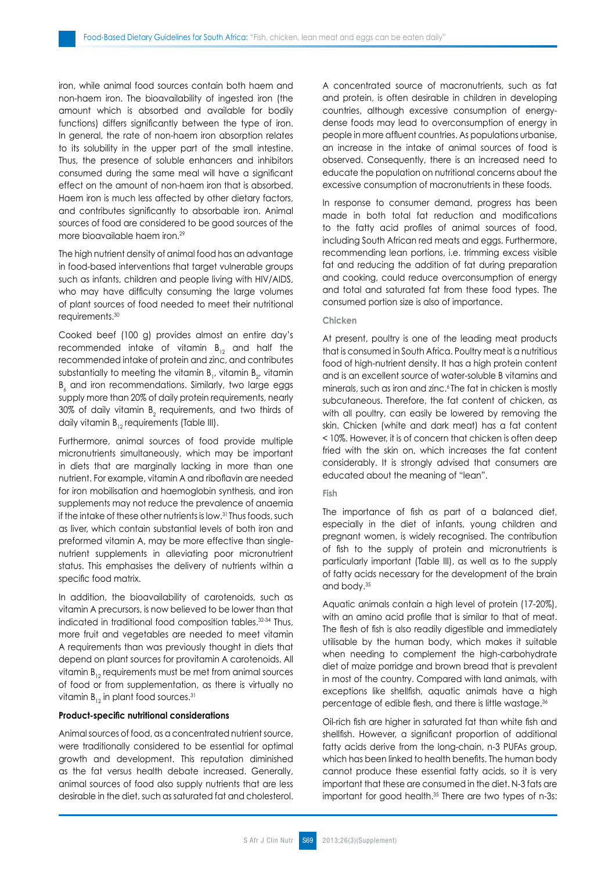iron, while animal food sources contain both haem and non-haem iron. The bioavailability of ingested iron (the amount which is absorbed and available for bodily functions) differs significantly between the type of iron. In general, the rate of non-haem iron absorption relates to its solubility in the upper part of the small intestine. Thus, the presence of soluble enhancers and inhibitors consumed during the same meal will have a significant effect on the amount of non-haem iron that is absorbed. Haem iron is much less affected by other dietary factors, and contributes significantly to absorbable iron. Animal sources of food are considered to be good sources of the more bioavailable haem iron.29

The high nutrient density of animal food has an advantage in food-based interventions that target vulnerable groups such as infants, children and people living with HIV/AIDS, who may have difficulty consuming the large volumes of plant sources of food needed to meet their nutritional requirements.30

Cooked beef (100 g) provides almost an entire day's recommended intake of vitamin  $B_{12}$  and half the recommended intake of protein and zinc, and contributes substantially to meeting the vitamin  ${\tt B}_{_{\rm I}}$ , vitamin  ${\tt B}_{_{\rm 2^{\prime}}}$  vitamin  $\,$  ${\tt B}_\zeta$  and iron recommendations. Similarly, two large eggs supply more than 20% of daily protein requirements, nearly 30% of daily vitamin  $\mathtt{B}_2$  requirements, and two thirds of daily vitamin  $B_{12}$  requirements (Table III).

Furthermore, animal sources of food provide multiple micronutrients simultaneously, which may be important in diets that are marginally lacking in more than one nutrient. For example, vitamin A and riboflavin are needed for iron mobilisation and haemoglobin synthesis, and iron supplements may not reduce the prevalence of anaemia if the intake of these other nutrients is low.31 Thus foods, such as liver, which contain substantial levels of both iron and preformed vitamin A, may be more effective than singlenutrient supplements in alleviating poor micronutrient status. This emphasises the delivery of nutrients within a specific food matrix.

In addition, the bioavailability of carotenoids, such as vitamin A precursors, is now believed to be lower than that indicated in traditional food composition tables.32-34 Thus, more fruit and vegetables are needed to meet vitamin A requirements than was previously thought in diets that depend on plant sources for provitamin A carotenoids. All vitamin  $B_{12}$  requirements must be met from animal sources of food or from supplementation, as there is virtually no vitamin  $B_{12}$  in plant food sources.<sup>31</sup>

## **Product-specific nutritional considerations**

Animal sources of food, as a concentrated nutrient source, were traditionally considered to be essential for optimal growth and development. This reputation diminished as the fat versus health debate increased. Generally, animal sources of food also supply nutrients that are less desirable in the diet, such as saturated fat and cholesterol. A concentrated source of macronutrients, such as fat and protein, is often desirable in children in developing countries, although excessive consumption of energydense foods may lead to overconsumption of energy in people in more affluent countries. As populations urbanise, an increase in the intake of animal sources of food is observed. Consequently, there is an increased need to educate the population on nutritional concerns about the excessive consumption of macronutrients in these foods.

In response to consumer demand, progress has been made in both total fat reduction and modifications to the fatty acid profiles of animal sources of food, including South African red meats and eggs. Furthermore, recommending lean portions, i.e. trimming excess visible fat and reducing the addition of fat during preparation and cooking, could reduce overconsumption of energy and total and saturated fat from these food types. The consumed portion size is also of importance.

## **Chicken**

At present, poultry is one of the leading meat products that is consumed in South Africa. Poultry meat is a nutritious food of high-nutrient density. It has a high protein content and is an excellent source of water-soluble B vitamins and minerals, such as iron and zinc.<sup>6</sup> The fat in chicken is mostly subcutaneous. Therefore, the fat content of chicken, as with all poultry, can easily be lowered by removing the skin. Chicken (white and dark meat) has a fat content < 10%. However, it is of concern that chicken is often deep fried with the skin on, which increases the fat content considerably. It is strongly advised that consumers are educated about the meaning of "lean".

#### **Fish**

The importance of fish as part of a balanced diet, especially in the diet of infants, young children and pregnant women, is widely recognised. The contribution of fish to the supply of protein and micronutrients is particularly important (Table III), as well as to the supply of fatty acids necessary for the development of the brain and body.35

Aquatic animals contain a high level of protein (17-20%), with an amino acid profile that is similar to that of meat. The flesh of fish is also readily digestible and immediately utilisable by the human body, which makes it suitable when needing to complement the high-carbohydrate diet of maize porridge and brown bread that is prevalent in most of the country. Compared with land animals, with exceptions like shellfish, aquatic animals have a high percentage of edible flesh, and there is little wastage.<sup>36</sup>

Oil-rich fish are higher in saturated fat than white fish and shellfish. However, a significant proportion of additional fatty acids derive from the long-chain, n-3 PUFAs group, which has been linked to health benefits. The human body cannot produce these essential fatty acids, so it is very important that these are consumed in the diet. N-3 fats are important for good health.35 There are two types of n-3s: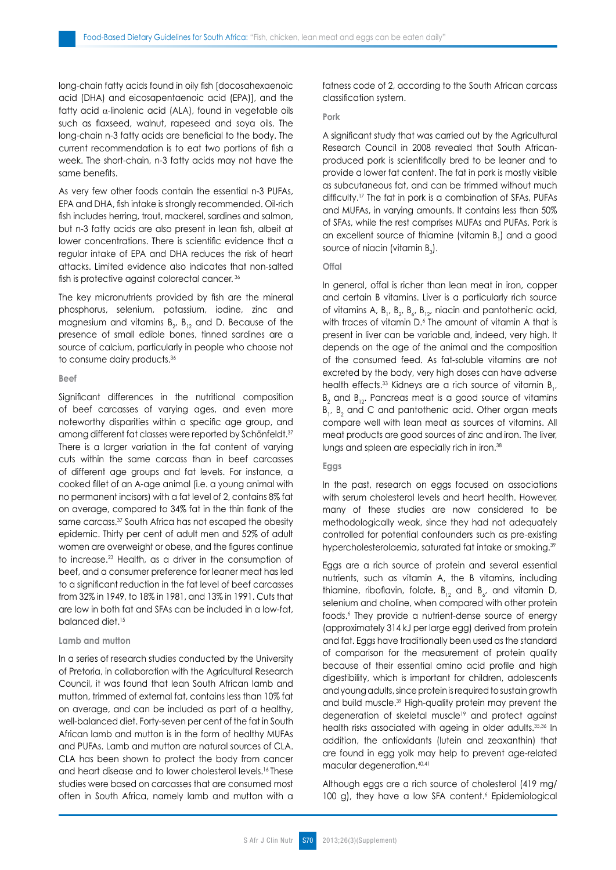long-chain fatty acids found in oily fish [docosahexaenoic acid (DHA) and eicosapentaenoic acid (EPA)], and the fatty acid  $\alpha$ -linolenic acid (ALA), found in vegetable oils such as flaxseed, walnut, rapeseed and soya oils. The long-chain n-3 fatty acids are beneficial to the body. The current recommendation is to eat two portions of fish a week. The short-chain, n-3 fatty acids may not have the same benefits.

As very few other foods contain the essential n-3 PUFAs, EPA and DHA, fish intake is strongly recommended. Oil-rich fish includes herring, trout, mackerel, sardines and salmon, but n-3 fatty acids are also present in lean fish, albeit at lower concentrations. There is scientific evidence that a regular intake of EPA and DHA reduces the risk of heart attacks. Limited evidence also indicates that non-salted fish is protective against colorectal cancer.<sup>36</sup>

The key micronutrients provided by fish are the mineral phosphorus, selenium, potassium, iodine, zinc and magnesium and vitamins  $B_{2'}$ ,  $B_{12}$  and D. Because of the presence of small edible bones, tinned sardines are a source of calcium, particularly in people who choose not to consume dairy products.<sup>36</sup>

#### **Beef**

Significant differences in the nutritional composition of beef carcasses of varying ages, and even more noteworthy disparities within a specific age group, and among different fat classes were reported by Schönfeldt.<sup>37</sup> There is a larger variation in the fat content of varying cuts within the same carcass than in beef carcasses of different age groups and fat levels. For instance, a cooked fillet of an A-age animal (i.e. a young animal with no permanent incisors) with a fat level of 2, contains 8% fat on average, compared to 34% fat in the thin flank of the same carcass.<sup>37</sup> South Africa has not escaped the obesity epidemic. Thirty per cent of adult men and 52% of adult women are overweight or obese, and the figures continue to increase.23 Health, as a driver in the consumption of beef, and a consumer preference for leaner meat has led to a significant reduction in the fat level of beef carcasses from 32% in 1949, to 18% in 1981, and 13% in 1991. Cuts that are low in both fat and SFAs can be included in a low-fat, balanced diet.<sup>15</sup>

#### **Lamb and mutton**

In a series of research studies conducted by the University of Pretoria, in collaboration with the Agricultural Research Council, it was found that lean South African lamb and mutton, trimmed of external fat, contains less than 10% fat on average, and can be included as part of a healthy, well-balanced diet. Forty-seven per cent of the fat in South African lamb and mutton is in the form of healthy MUFAs and PUFAs. Lamb and mutton are natural sources of CLA. CLA has been shown to protect the body from cancer and heart disease and to lower cholesterol levels.16 These studies were based on carcasses that are consumed most often in South Africa, namely lamb and mutton with a fatness code of 2, according to the South African carcass classification system.

#### **Pork**

A significant study that was carried out by the Agricultural Research Council in 2008 revealed that South Africanproduced pork is scientifically bred to be leaner and to provide a lower fat content. The fat in pork is mostly visible as subcutaneous fat, and can be trimmed without much difficulty.17 The fat in pork is a combination of SFAs, PUFAs and MUFAs, in varying amounts. It contains less than 50% of SFAs, while the rest comprises MUFAs and PUFAs. Pork is an excellent source of thiamine (vitamin  $B_1$ ) and a good source of niacin (vitamin  $B_3$ ).

## **Offal**

In general, offal is richer than lean meat in iron, copper and certain B vitamins. Liver is a particularly rich source of vitamins A,  $B_1$ ,  $B_2$ ,  $B_3$ ,  $B_{12}$ , niacin and pantothenic acid, with traces of vitamin D.<sup>6</sup> The amount of vitamin A that is present in liver can be variable and, indeed, very high. It depends on the age of the animal and the composition of the consumed feed. As fat-soluble vitamins are not excreted by the body, very high doses can have adverse health effects.<sup>33</sup> Kidneys are a rich source of vitamin  $B_{1'}$ ,  $B_2$  and  $B_{12}$ . Pancreas meat is a good source of vitamins  $B_1$ ,  $B_2$  and C and pantothenic acid. Other organ meats compare well with lean meat as sources of vitamins. All meat products are good sources of zinc and iron. The liver, lungs and spleen are especially rich in iron.<sup>38</sup>

## **Eggs**

In the past, research on eggs focused on associations with serum cholesterol levels and heart health. However, many of these studies are now considered to be methodologically weak, since they had not adequately controlled for potential confounders such as pre-existing hypercholesterolaemia, saturated fat intake or smoking.<sup>39</sup>

Eggs are a rich source of protein and several essential nutrients, such as vitamin A, the B vitamins, including thiamine, riboflavin, folate,  $B_{12}$  and  $B_{6}$ , and vitamin D, selenium and choline, when compared with other protein foods.6 They provide a nutrient-dense source of energy (approximately 314 kJ per large egg) derived from protein and fat. Eggs have traditionally been used as the standard of comparison for the measurement of protein quality because of their essential amino acid profile and high digestibility, which is important for children, adolescents and young adults, since protein is required to sustain growth and build muscle.39 High-quality protein may prevent the degeneration of skeletal muscle<sup>19</sup> and protect against health risks associated with ageing in older adults.35,36 In addition, the antioxidants (lutein and zeaxanthin) that are found in egg yolk may help to prevent age-related macular degeneration.40,41

Although eggs are a rich source of cholesterol (419 mg/ 100 g), they have a low SFA content. Epidemiological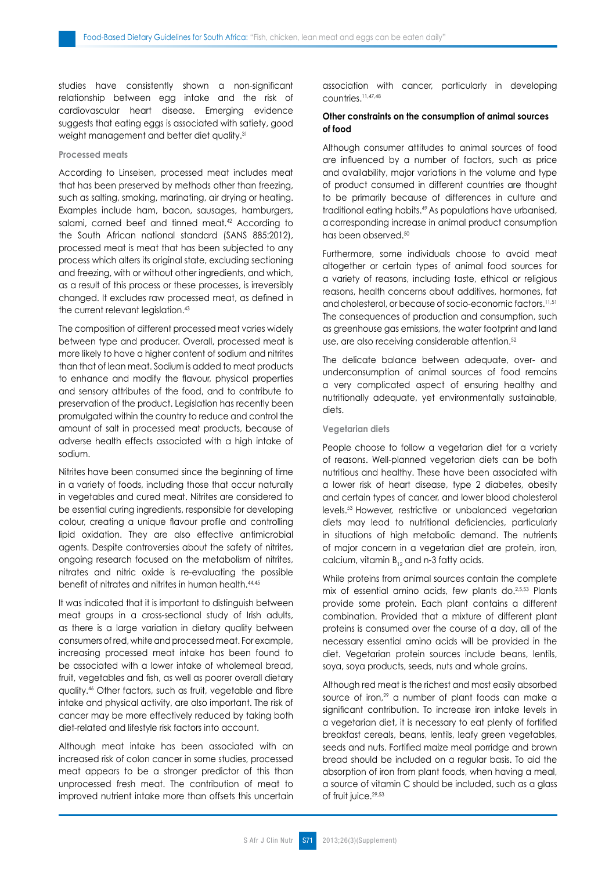studies have consistently shown a non-significant relationship between egg intake and the risk of cardiovascular heart disease. Emerging evidence suggests that eating eggs is associated with satiety, good weight management and better diet quality.<sup>31</sup>

## **Processed meats**

According to Linseisen, processed meat includes meat that has been preserved by methods other than freezing, such as salting, smoking, marinating, air drying or heating. Examples include ham, bacon, sausages, hamburgers, salami, corned beef and tinned meat.<sup>42</sup> According to the South African national standard (SANS 885:2012), processed meat is meat that has been subjected to any process which alters its original state, excluding sectioning and freezing, with or without other ingredients, and which, as a result of this process or these processes, is irreversibly changed. It excludes raw processed meat, as defined in the current relevant legislation.<sup>43</sup>

The composition of different processed meat varies widely between type and producer. Overall, processed meat is more likely to have a higher content of sodium and nitrites than that of lean meat. Sodium is added to meat products to enhance and modify the flavour, physical properties and sensory attributes of the food, and to contribute to preservation of the product. Legislation has recently been promulgated within the country to reduce and control the amount of salt in processed meat products, because of adverse health effects associated with a high intake of sodium.

Nitrites have been consumed since the beginning of time in a variety of foods, including those that occur naturally in vegetables and cured meat. Nitrites are considered to be essential curing ingredients, responsible for developing colour, creating a unique flavour profile and controlling lipid oxidation. They are also effective antimicrobial agents. Despite controversies about the safety of nitrites, ongoing research focused on the metabolism of nitrites, nitrates and nitric oxide is re-evaluating the possible benefit of nitrates and nitrites in human health.44,45

It was indicated that it is important to distinguish between meat groups in a cross-sectional study of Irish adults, as there is a large variation in dietary quality between consumers of red, white and processed meat. For example, increasing processed meat intake has been found to be associated with a lower intake of wholemeal bread, fruit, vegetables and fish, as well as poorer overall dietary quality.46 Other factors, such as fruit, vegetable and fibre intake and physical activity, are also important. The risk of cancer may be more effectively reduced by taking both diet-related and lifestyle risk factors into account.

Although meat intake has been associated with an increased risk of colon cancer in some studies, processed meat appears to be a stronger predictor of this than unprocessed fresh meat. The contribution of meat to improved nutrient intake more than offsets this uncertain association with cancer, particularly in developing countries.11,47,48

## **Other constraints on the consumption of animal sources of food**

Although consumer attitudes to animal sources of food are influenced by a number of factors, such as price and availability, major variations in the volume and type of product consumed in different countries are thought to be primarily because of differences in culture and traditional eating habits.49 As populations have urbanised, a corresponding increase in animal product consumption has been observed.<sup>50</sup>

Furthermore, some individuals choose to avoid meat altogether or certain types of animal food sources for a variety of reasons, including taste, ethical or religious reasons, health concerns about additives, hormones, fat and cholesterol, or because of socio-economic factors.11,51 The consequences of production and consumption, such as greenhouse gas emissions, the water footprint and land use, are also receiving considerable attention.<sup>52</sup>

The delicate balance between adequate, over- and underconsumption of animal sources of food remains a very complicated aspect of ensuring healthy and nutritionally adequate, yet environmentally sustainable, diets.

#### **Vegetarian diets**

People choose to follow a vegetarian diet for a variety of reasons. Well-planned vegetarian diets can be both nutritious and healthy. These have been associated with a lower risk of heart disease, type 2 diabetes, obesity and certain types of cancer, and lower blood cholesterol levels.53 However, restrictive or unbalanced vegetarian diets may lead to nutritional deficiencies, particularly in situations of high metabolic demand. The nutrients of major concern in a vegetarian diet are protein, iron, calcium, vitamin B<sub>12</sub> and n-3 fatty acids.

While proteins from animal sources contain the complete mix of essential amino acids, few plants do.<sup>2,5,53</sup> Plants provide some protein. Each plant contains a different combination. Provided that a mixture of different plant proteins is consumed over the course of a day, all of the necessary essential amino acids will be provided in the diet. Vegetarian protein sources include beans, lentils, soya, soya products, seeds, nuts and whole grains.

Although red meat is the richest and most easily absorbed source of iron,<sup>29</sup> a number of plant foods can make a significant contribution. To increase iron intake levels in a vegetarian diet, it is necessary to eat plenty of fortified breakfast cereals, beans, lentils, leafy green vegetables, seeds and nuts. Fortified maize meal porridge and brown bread should be included on a regular basis. To aid the absorption of iron from plant foods, when having a meal, a source of vitamin C should be included, such as a glass of fruit juice.29,53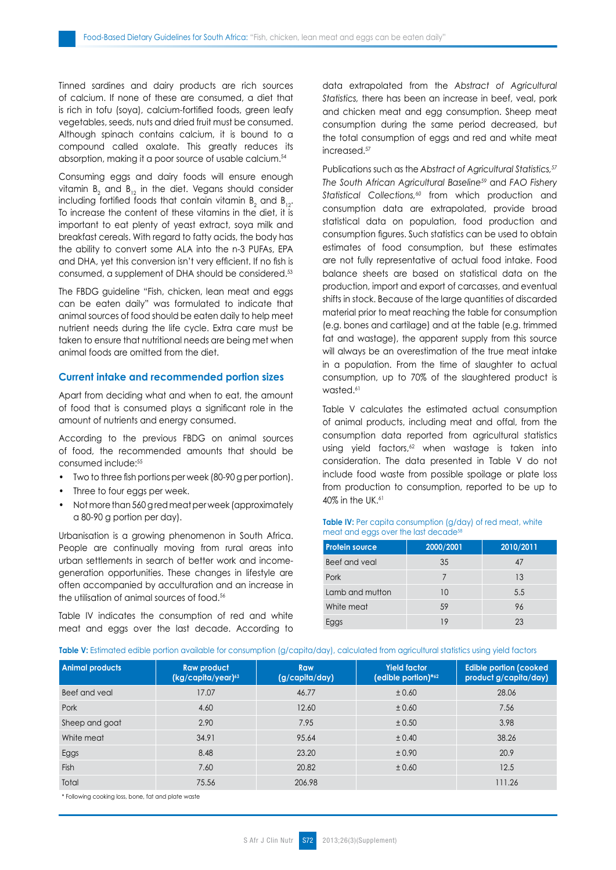Tinned sardines and dairy products are rich sources of calcium. If none of these are consumed, a diet that is rich in tofu (soya), calcium-fortified foods, green leafy vegetables, seeds, nuts and dried fruit must be consumed. Although spinach contains calcium, it is bound to a compound called oxalate. This greatly reduces its absorption, making it a poor source of usable calcium.54

Consuming eggs and dairy foods will ensure enough vitamin  $\mathsf{B}_2$  and  $\mathsf{B}_{12}$  in the diet. Vegans should consider including fortified foods that contain vitamin  $B_2$  and  $B_{12}$ . To increase the content of these vitamins in the diet, it is important to eat plenty of yeast extract, soya milk and breakfast cereals. With regard to fatty acids, the body has the ability to convert some ALA into the n-3 PUFAs, EPA and DHA, yet this conversion isn't very efficient. If no fish is consumed, a supplement of DHA should be considered.53

The FBDG guideline "Fish, chicken, lean meat and eggs can be eaten daily" was formulated to indicate that animal sources of food should be eaten daily to help meet nutrient needs during the life cycle. Extra care must be taken to ensure that nutritional needs are being met when animal foods are omitted from the diet.

#### **Current intake and recommended portion sizes**

Apart from deciding what and when to eat, the amount of food that is consumed plays a significant role in the amount of nutrients and energy consumed.

According to the previous FBDG on animal sources of food, the recommended amounts that should be consumed include:55

- Two to three fish portions per week (80-90 g per portion).
- Three to four eggs per week.
- Not more than 560 g red meat per week (approximately a 80-90 g portion per day).

Urbanisation is a growing phenomenon in South Africa. People are continually moving from rural areas into urban settlements in search of better work and incomegeneration opportunities. These changes in lifestyle are often accompanied by acculturation and an increase in the utilisation of animal sources of food.56

Table IV indicates the consumption of red and white meat and eggs over the last decade. According to data extrapolated from the *Abstract of Agricultural Statistics,* there has been an increase in beef, veal, pork and chicken meat and egg consumption. Sheep meat consumption during the same period decreased, but the total consumption of eggs and red and white meat increased.57

Publications such as the *Abstract of Agricultural Statistics,57 The South African Agricultural Baseline59* and *FAO Fishery Statistical Collections,60* from which production and consumption data are extrapolated, provide broad statistical data on population, food production and consumption figures. Such statistics can be used to obtain estimates of food consumption, but these estimates are not fully representative of actual food intake. Food balance sheets are based on statistical data on the production, import and export of carcasses, and eventual shifts in stock. Because of the large quantities of discarded material prior to meat reaching the table for consumption (e.g. bones and cartilage) and at the table (e.g. trimmed fat and wastage), the apparent supply from this source will always be an overestimation of the true meat intake in a population. From the time of slaughter to actual consumption, up to 70% of the slaughtered product is wasted.<sup>61</sup>

Table V calculates the estimated actual consumption of animal products, including meat and offal, from the consumption data reported from agricultural statistics using yield factors, $62$  when wastage is taken into consideration. The data presented in Table V do not include food waste from possible spoilage or plate loss from production to consumption, reported to be up to 40% in the UK.<sup>61</sup>

## **Table IV:** Per capita consumption (g/day) of red meat, white meat and eggs over the last decade<sup>58</sup>

| <b>Protein source</b> | 2000/2001 | 2010/2011 |
|-----------------------|-----------|-----------|
| Beef and yeal         | 35        | 47        |
| Pork                  |           | 13        |
| Lamb and mutton       | 10        | 5.5       |
| White meat            | 59        | 96        |
|                       | 19        | 23        |

#### Table V: Estimated edible portion available for consumption (g/capita/day), calculated from agricultural statistics using yield factors

| <b>Animal products</b> | <b>Raw product</b><br>(kg/capita/year)63 | Raw<br>(g/capita/day) | <b>Yield factor</b><br>(edible portion)*62 | <b>Edible portion (cooked)</b><br>product g/capita/day) |
|------------------------|------------------------------------------|-----------------------|--------------------------------------------|---------------------------------------------------------|
| Beef and yeal          | 17.07                                    | 46.77                 | ± 0.60                                     | 28.06                                                   |
| Pork                   | 4.60                                     | 12.60                 | ± 0.60                                     | 7.56                                                    |
| Sheep and goat         | 2.90                                     | 7.95                  | ± 0.50                                     | 3.98                                                    |
| White meat             | 34.91                                    | 95.64                 | ± 0.40                                     | 38.26                                                   |
| Eggs                   | 8.48                                     | 23.20                 | ± 0.90                                     | 20.9                                                    |
| Fish                   | 7.60                                     | 20.82                 | ± 0.60                                     | 12.5                                                    |
| Total                  | 75.56                                    | 206.98                |                                            | 111.26                                                  |

\* Following cooking loss, bone, fat and plate waste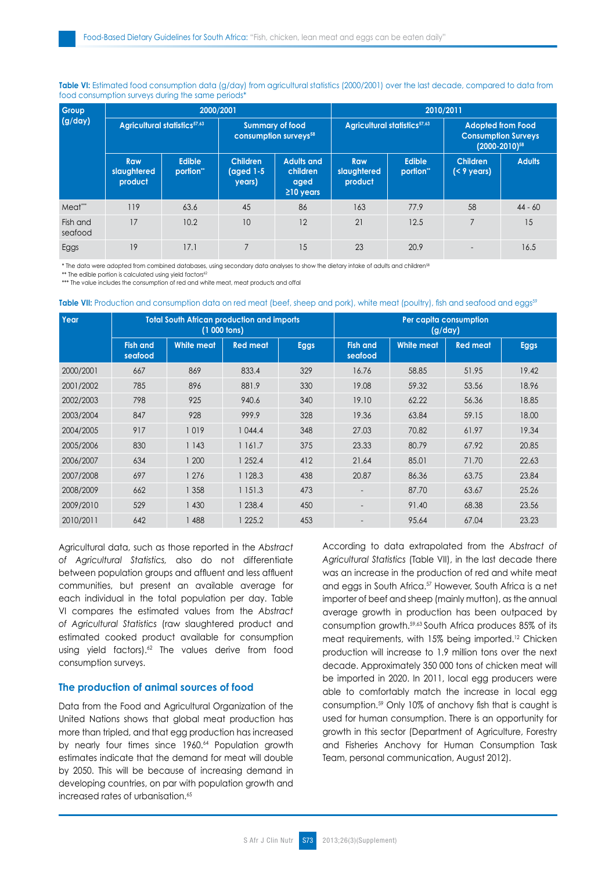| Group               |                                          |                           | 2000/2001                                                   |                                                          | 2010/2011                     |                                          |                                                                                |               |  |
|---------------------|------------------------------------------|---------------------------|-------------------------------------------------------------|----------------------------------------------------------|-------------------------------|------------------------------------------|--------------------------------------------------------------------------------|---------------|--|
| (g/day)             | Agricultural statistics <sup>57,63</sup> |                           | <b>Summary of food</b><br>consumption surveys <sup>58</sup> |                                                          |                               | Agricultural statistics <sup>57,63</sup> | <b>Adopted from Food</b><br><b>Consumption Surveys</b><br>$(2000 - 2010)^{58}$ |               |  |
|                     | Raw<br>slaughtered<br>product            | <b>Edible</b><br>portion" | <b>Children</b><br>(aged 1-5<br>years)                      | <b>Adults and</b><br>children<br>aged<br>$\geq$ 10 years | Raw<br>slaughtered<br>product | <b>Edible</b><br>portion"                | <b>Children</b><br>$(< 9 \text{ years})$                                       | <b>Adults</b> |  |
| Meat***             | 119                                      | 63.6                      | 45                                                          | 86                                                       | 163                           | 77.9                                     | 58                                                                             | $44 - 60$     |  |
| Fish and<br>seafood | 17                                       | 10.2                      | 10                                                          | 12                                                       | 21                            | 12.5                                     | $\overline{7}$                                                                 | 15            |  |
| Eggs                | 19                                       | 17.1                      | $\overline{7}$                                              | 15                                                       | 23                            | 20.9                                     |                                                                                | 16.5          |  |

Table VI: Estimated food consumption data (g/day) from agricultural statistics (2000/2001) over the last decade, compared to data from food consumption surveys during the same periods\*

\* The data were adopted from combined databases, using secondary data analyses to show the dietary intake of adults and children<sup>58</sup>

\*\* The edible portion is calculated using yield factors<sup>62</sup>

\*\*\* The value includes the consumption of red and white meat, meat products and offal

Table VII: Production and consumption data on red meat (beef, sheep and pork), white meat (poultry), fish and seafood and eggs<sup>59</sup>

| Year      |                            | <b>Total South African production and imports</b><br>$(1 000$ tons) |                 |             | Per capita consumption<br>(g/day) |                   |                 |             |
|-----------|----------------------------|---------------------------------------------------------------------|-----------------|-------------|-----------------------------------|-------------------|-----------------|-------------|
|           | <b>Fish and</b><br>seafood | <b>White meat</b>                                                   | <b>Red meat</b> | <b>Eggs</b> | <b>Fish and</b><br>seafood        | <b>White meat</b> | <b>Red meat</b> | <b>Eggs</b> |
| 2000/2001 | 667                        | 869                                                                 | 833.4           | 329         | 16.76                             | 58.85             | 51.95           | 19.42       |
| 2001/2002 | 785                        | 896                                                                 | 881.9           | 330         | 19.08                             | 59.32             | 53.56           | 18.96       |
| 2002/2003 | 798                        | 925                                                                 | 940.6           | 340         | 19.10                             | 62.22             | 56.36           | 18.85       |
| 2003/2004 | 847                        | 928                                                                 | 999.9           | 328         | 19.36                             | 63.84             | 59.15           | 18.00       |
| 2004/2005 | 917                        | 1019                                                                | 1044.4          | 348         | 27.03                             | 70.82             | 61.97           | 19.34       |
| 2005/2006 | 830                        | 1143                                                                | 1 161.7         | 375         | 23.33                             | 80.79             | 67.92           | 20.85       |
| 2006/2007 | 634                        | 1 200                                                               | 1 252.4         | 412         | 21.64                             | 85.01             | 71.70           | 22.63       |
| 2007/2008 | 697                        | 1 276                                                               | 1 1 28.3        | 438         | 20.87                             | 86.36             | 63.75           | 23.84       |
| 2008/2009 | 662                        | 1 358                                                               | 1151.3          | 473         | $\overline{a}$                    | 87.70             | 63.67           | 25.26       |
| 2009/2010 | 529                        | 1 4 3 0                                                             | 1 238.4         | 450         | $\overline{a}$                    | 91.40             | 68.38           | 23.56       |
| 2010/2011 | 642                        | 488                                                                 | 225.2           | 453         |                                   | 95.64             | 67.04           | 23.23       |

Agricultural data, such as those reported in the *Abstract of Agricultural Statistics,* also do not differentiate between population groups and affluent and less affluent communities, but present an available average for each individual in the total population per day. Table VI compares the estimated values from the *Abstract of Agricultural Statistics* (raw slaughtered product and estimated cooked product available for consumption using yield factors).<sup>62</sup> The values derive from food consumption surveys.

# **The production of animal sources of food**

Data from the Food and Agricultural Organization of the United Nations shows that global meat production has more than tripled, and that egg production has increased by nearly four times since 1960.<sup>64</sup> Population growth estimates indicate that the demand for meat will double by 2050. This will be because of increasing demand in developing countries, on par with population growth and increased rates of urbanisation.<sup>65</sup>

According to data extrapolated from the *Abstract of Agricultural Statistics* (Table VII), in the last decade there was an increase in the production of red and white meat and eggs in South Africa.<sup>57</sup> However, South Africa is a net importer of beef and sheep (mainly mutton), as the annual average growth in production has been outpaced by consumption growth.59,63 South Africa produces 85% of its meat requirements, with 15% being imported.<sup>12</sup> Chicken production will increase to 1.9 million tons over the next decade. Approximately 350 000 tons of chicken meat will be imported in 2020. In 2011, local egg producers were able to comfortably match the increase in local egg consumption.59 Only 10% of anchovy fish that is caught is used for human consumption. There is an opportunity for growth in this sector (Department of Agriculture, Forestry and Fisheries Anchovy for Human Consumption Task Team, personal communication, August 2012).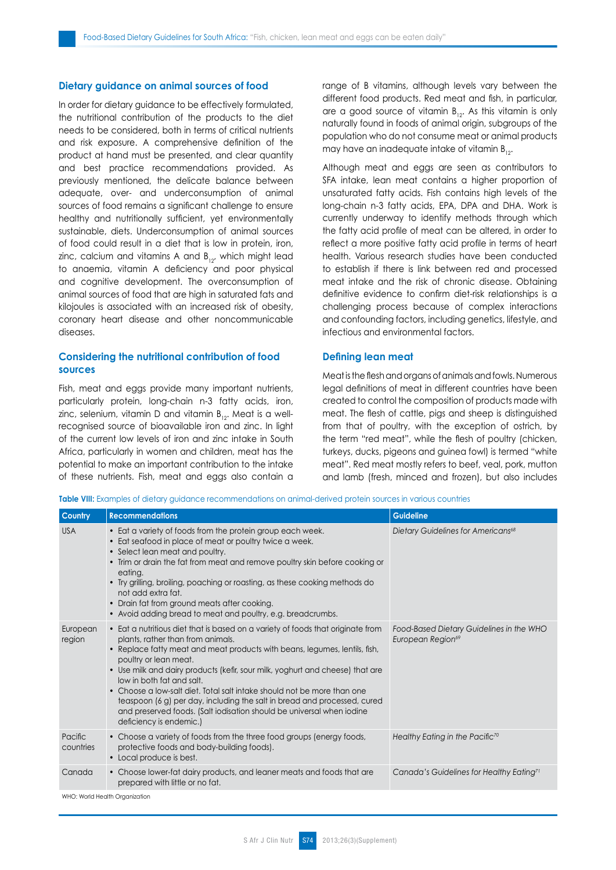## **Dietary guidance on animal sources of food**

In order for dietary guidance to be effectively formulated, the nutritional contribution of the products to the diet needs to be considered, both in terms of critical nutrients and risk exposure. A comprehensive definition of the product at hand must be presented, and clear quantity and best practice recommendations provided. As previously mentioned, the delicate balance between adequate, over- and underconsumption of animal sources of food remains a significant challenge to ensure healthy and nutritionally sufficient, yet environmentally sustainable, diets. Underconsumption of animal sources of food could result in a diet that is low in protein, iron, zinc, calcium and vitamins A and  $B_{12}$ , which might lead to anaemia, vitamin A deficiency and poor physical and cognitive development. The overconsumption of animal sources of food that are high in saturated fats and kilojoules is associated with an increased risk of obesity, coronary heart disease and other noncommunicable diseases.

# **Considering the nutritional contribution of food sources**

Fish, meat and eggs provide many important nutrients, particularly protein, long-chain n-3 fatty acids, iron, zinc, selenium, vitamin D and vitamin  $B_{12}$ . Meat is a wellrecognised source of bioavailable iron and zinc. In light of the current low levels of iron and zinc intake in South Africa, particularly in women and children, meat has the potential to make an important contribution to the intake of these nutrients. Fish, meat and eggs also contain a range of B vitamins, although levels vary between the different food products. Red meat and fish, in particular, are a good source of vitamin  $B_{12}$ . As this vitamin is only naturally found in foods of animal origin, subgroups of the population who do not consume meat or animal products may have an inadequate intake of vitamin  $B_{12}$ .

Although meat and eggs are seen as contributors to SFA intake, lean meat contains a higher proportion of unsaturated fatty acids. Fish contains high levels of the long-chain n-3 fatty acids, EPA, DPA and DHA. Work is currently underway to identify methods through which the fatty acid profile of meat can be altered, in order to reflect a more positive fatty acid profile in terms of heart health. Various research studies have been conducted to establish if there is link between red and processed meat intake and the risk of chronic disease. Obtaining definitive evidence to confirm diet-risk relationships is a challenging process because of complex interactions and confounding factors, including genetics, lifestyle, and infectious and environmental factors.

## **Defining lean meat**

Meat is the flesh and organs of animals and fowls. Numerous legal definitions of meat in different countries have been created to control the composition of products made with meat. The flesh of cattle, pigs and sheep is distinguished from that of poultry, with the exception of ostrich, by the term "red meat", while the flesh of poultry (chicken, turkeys, ducks, pigeons and guinea fowl) is termed "white meat". Red meat mostly refers to beef, veal, pork, mutton and lamb (fresh, minced and frozen), but also includes

**Table VIII:** Examples of dietary guidance recommendations on animal-derived protein sources in various countries

| <b>Country</b>       | <b>Recommendations</b>                                                                                                                                                                                                                                                                                                                                                                                                                                                                                                                                                                               | <b>Guideline</b>                                                          |
|----------------------|------------------------------------------------------------------------------------------------------------------------------------------------------------------------------------------------------------------------------------------------------------------------------------------------------------------------------------------------------------------------------------------------------------------------------------------------------------------------------------------------------------------------------------------------------------------------------------------------------|---------------------------------------------------------------------------|
| <b>USA</b>           | • Eat a variety of foods from the protein group each week.<br>• Eat seafood in place of meat or poultry twice a week.<br>• Select lean meat and poultry.<br>• Trim or drain the fat from meat and remove poultry skin before cooking or<br>eating.<br>• Try grilling, broiling, poaching or roasting, as these cooking methods do<br>not add extra fat.<br>• Drain fat from ground meats after cooking.<br>• Avoid adding bread to meat and poultry, e.g. breadcrumbs.                                                                                                                               | Dietary Guidelines for Americans <sup>68</sup>                            |
| European<br>region   | • Eat a nutritious diet that is based on a variety of foods that originate from<br>plants, rather than from animals.<br>• Replace fatty meat and meat products with beans, legumes, lentils, fish,<br>poultry or lean meat.<br>• Use milk and dairy products (kefir, sour milk, yoghurt and cheese) that are<br>low in both fat and salt.<br>• Choose a low-salt diet. Total salt intake should not be more than one<br>teaspoon (6 g) per day, including the salt in bread and processed, cured<br>and preserved foods. (Salt iodisation should be universal when iodine<br>deficiency is endemic.) | Food-Based Dietary Guidelines in the WHO<br>European Region <sup>69</sup> |
| Pacific<br>countries | • Choose a variety of foods from the three food groups (energy foods,<br>protective foods and body-building foods).<br>• Local produce is best.                                                                                                                                                                                                                                                                                                                                                                                                                                                      | Healthy Eating in the Pacific <sup>70</sup>                               |
| Canada               | • Choose lower-fat dairy products, and leaner meats and foods that are<br>prepared with little or no fat.                                                                                                                                                                                                                                                                                                                                                                                                                                                                                            | Canada's Guidelines for Healthy Eating <sup>71</sup>                      |
|                      | WHO: World Health Organization                                                                                                                                                                                                                                                                                                                                                                                                                                                                                                                                                                       |                                                                           |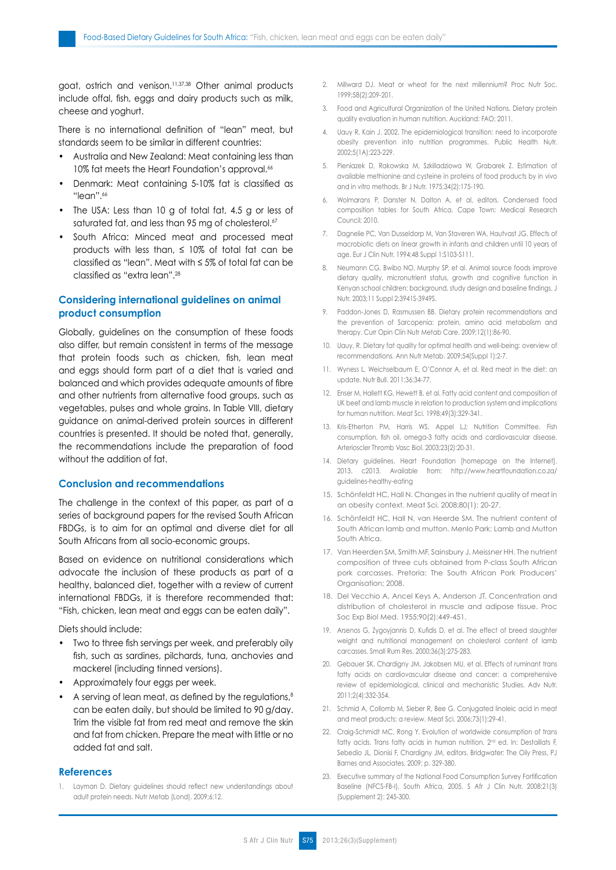goat, ostrich and venison.11,37,38 Other animal products include offal, fish, eggs and dairy products such as milk, cheese and yoghurt.

There is no international definition of "lean" meat, but standards seem to be similar in different countries:

- • Australia and New Zealand: Meat containing less than 10% fat meets the Heart Foundation's approval.<sup>66</sup>
- Denmark: Meat containing 5-10% fat is classified as "lean".<sup>66</sup>
- The USA: Less than 10 g of total fat, 4.5 g or less of saturated fat, and less than 95 mg of cholesterol.<sup>67</sup>
- • South Africa: Minced meat and processed meat products with less than,  $\leq$  10% of total fat can be classified as "lean". Meat with ≤ 5% of total fat can be classified as "extra lean".<sup>28</sup>

# **Considering international guidelines on animal product consumption**

Globally, guidelines on the consumption of these foods also differ, but remain consistent in terms of the message that protein foods such as chicken, fish, lean meat and eggs should form part of a diet that is varied and balanced and which provides adequate amounts of fibre and other nutrients from alternative food groups, such as vegetables, pulses and whole grains. In Table VIII, dietary guidance on animal-derived protein sources in different countries is presented. It should be noted that, generally, the recommendations include the preparation of food without the addition of fat.

## **Conclusion and recommendations**

The challenge in the context of this paper, as part of a series of background papers for the revised South African FBDGs, is to aim for an optimal and diverse diet for all South Africans from all socio-economic groups.

Based on evidence on nutritional considerations which advocate the inclusion of these products as part of a healthy, balanced diet, together with a review of current international FBDGs, it is therefore recommended that: "Fish, chicken, lean meat and eggs can be eaten daily".

Diets should include:

- Two to three fish servings per week, and preferably oily fish, such as sardines, pilchards, tuna, anchovies and mackerel (including tinned versions).
- • Approximately four eggs per week.
- A serving of lean meat, as defined by the regulations,<sup>8</sup> can be eaten daily, but should be limited to 90 g/day. Trim the visible fat from red meat and remove the skin and fat from chicken. Prepare the meat with little or no added fat and salt.

## **References**

1. Layman D. Dietary guidelines should reflect new understandings about adult protein needs. Nutr Metab (Lond). 2009;6:12.

- 2. Millward DJ. Meat or wheat for the next millennium? Proc Nutr Soc. 1999;58(2):209-201.
- 3. Food and Agricultural Organization of the United Nations. Dietary protein quality evaluation in human nutrition. Auckland: FAO; 2011.
- 4. Uauy R, Kain J. 2002. The epidemiological transition: need to incorporate obesity prevention into nutrition programmes. Public Health Nutr. 2002;5(1A):223-229.
- 5. Pieniazek D, Rakowska M, Szkilladziowa W, Grabarek Z. Estimation of available methionine and cysteine in proteins of food products by in vivo and in vitro methods. Br J Nutr. 1975;34(2):175-190.
- 6. Wolmarans P, Danster N, Dalton A, et al, editors. Condensed food composition tables for South Africa. Cape Town: Medical Research Council; 2010.
- 7. Dagnelie PC, Van Dusseldorp M, Van Staveren WA, Hautvast JG. Effects of macrobiotic diets on linear growth in infants and children until 10 years of age. Eur J Clin Nutr. 1994;48 Suppl 1:S103-S111.
- 8. Neumann CG, Bwibo NO, Murphy SP, et al. Animal source foods improve dietary quality, micronutrient status, growth and cognitive function in Kenyan school children: background, study design and baseline findings. J Nutr. 2003;11 Suppl 2:3941S-3949S.
- 9. Paddon-Jones D, Rasmussen BB. Dietary protein recommendations and the prevention of Sarcopenia: protein, amino acid metabolism and therapy. Curr Opin Clin Nutr Metab Care. 2009;12(1):86-90.
- 10. Uauy, R. Dietary fat quality for optimal health and well-being: overview of recommendations. Ann Nutr Metab. 2009;54(Suppl 1):2-7.
- 11. Wyness L, Weichselbaum E, O'Connor A, et al. Red meat in the diet: an update. Nutr Bull. 2011;36:34-77.
- 12. Enser M, Hallett KG, Hewett B, et al. Fatty acid content and composition of UK beef and lamb muscle in relation to production system and implications for human nutrition. Meat Sci. 1998;49(3):329-341.
- 13. Kris-Etherton PM, Harris WS, Appel LJ; Nutrition Committee. Fish consumption, fish oil, omega-3 fatty acids and cardiovascular disease. Arterioscler Thromb Vasc Biol. 2003;23(2):20-31.
- 14. Dietary guidelines. Heart Foundation [homepage on the Internet]. 2013. c2013. Available from: http://www.heartfoundation.co.za/ guidelines-healthy-eating
- 15. Schönfeldt HC, Hall N. Changes in the nutrient quality of meat in an obesity context. Meat Sci. 2008;80(1): 20-27.
- 16. Schönfeldt HC, Hall N, van Heerde SM. The nutrient content of South African lamb and mutton. Menlo Park: Lamb and Mutton South Africa.
- 17. Van Heerden SM, Smith MF, Sainsbury J, Meissner HH. The nutrient composition of three cuts obtained from P-class South African pork carcasses. Pretoria: The South African Pork Producers' Organisation; 2008.
- 18. Del Vecchio A, Ancel Keys A, Anderson JT. Concentration and distribution of cholesterol in muscle and adipose tissue. Proc Soc Exp Biol Med. 1955;90(2):449-451.
- 19. Arsenos G, Zygoyjannis D, Kufidis D, et al. The effect of breed slaughter weight and nutritional management on cholesterol content of lamb carcasses. Small Rum Res. 2000;36(3):275-283.
- 20. Gebauer SK, Chardigny JM, Jakobsen MU, et al. Effects of ruminant trans fatty acids on cardiovascular disease and cancer: a comprehensive review of epidemiological, clinical and mechanistic Studies. Adv Nutr. 2011;2(4):332-354.
- 21. Schmid A, Collomb M, Sieber R, Bee G. Conjugated linoleic acid in meat and meat products: a review. Meat Sci. 2006;73(1):29-41.
- 22. Craig-Schmidt MC, Rong Y. Evolution of worldwide consumption of trans fatty acids. Trans fatty acids in human nutrition. 2<sup>nd</sup> ed. In: Destaillats F, Sebedio JL, Dionisi F, Chardigny JM, editors. Bridgwater: The Oily Press, PJ Barnes and Associates, 2009; p. 329-380.
- 23. Executive summary of the National Food Consumption Survey Fortification Baseline (NFCS-FB-I), South Africa, 2005. S Afr J Clin Nutr. 2008:21(3) (Supplement 2): 245-300.